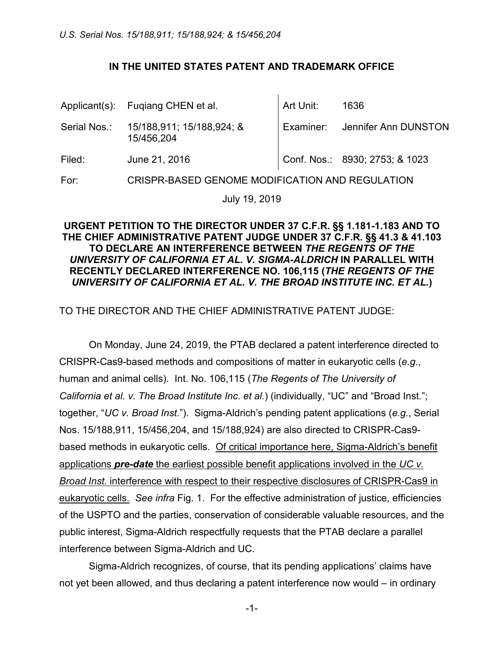### **IN THE UNITED STATES PATENT AND TRADEMARK OFFICE**

|        | Applicant(s): Fugiang CHEN et al.                    | Art Unit: | 1636                           |
|--------|------------------------------------------------------|-----------|--------------------------------|
|        | Serial Nos.: 15/188,911; 15/188,924; &<br>15/456,204 |           | Examiner: Jennifer Ann DUNSTON |
| Filed: | June 21, 2016                                        |           | Conf. Nos.: 8930; 2753; & 1023 |
| For:   | CRISPR-BASED GENOME MODIFICATION AND REGULATION      |           |                                |

July 19, 2019

### **URGENT PETITION TO THE DIRECTOR UNDER 37 C.F.R. §§ 1.181-1.183 AND TO THE CHIEF ADMINISTRATIVE PATENT JUDGE UNDER 37 C.F.R. §§ 41.3 & 41.103 TO DECLARE AN INTERFERENCE BETWEEN** *THE REGENTS OF THE UNIVERSITY OF CALIFORNIA ET AL. V. SIGMA-ALDRICH* **IN PARALLEL WITH RECENTLY DECLARED INTERFERENCE NO. 106,115 (***THE REGENTS OF THE UNIVERSITY OF CALIFORNIA ET AL. V. THE BROAD INSTITUTE INC. ET AL.***)**

## TO THE DIRECTOR AND THE CHIEF ADMINISTRATIVE PATENT JUDGE:

On Monday, June 24, 2019, the PTAB declared a patent interference directed to CRISPR-Cas9-based methods and compositions of matter in eukaryotic cells (*e.g.*, human and animal cells). Int. No. 106,115 (*The Regents of The University of California et al. v. The Broad Institute Inc. et al.*) (individually, "UC" and "Broad Inst."; together, "*UC v. Broad Inst.*"). Sigma-Aldrich's pending patent applications (*e.g.*, Serial Nos. 15/188,911, 15/456,204, and 15/188,924) are also directed to CRISPR-Cas9 based methods in eukaryotic cells. Of critical importance here, Sigma-Aldrich's benefit applications *pre-date* the earliest possible benefit applications involved in the *UC v. Broad Inst.* interference with respect to their respective disclosures of CRISPR-Cas9 in eukaryotic cells. *See infra* Fig. 1. For the effective administration of justice, efficiencies of the USPTO and the parties, conservation of considerable valuable resources, and the public interest, Sigma-Aldrich respectfully requests that the PTAB declare a parallel interference between Sigma-Aldrich and UC.

Sigma-Aldrich recognizes, of course, that its pending applications' claims have not yet been allowed, and thus declaring a patent interference now would – in ordinary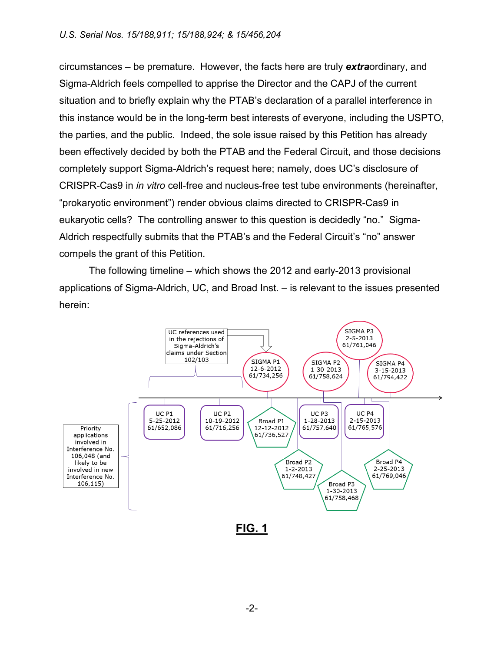circumstances – be premature. However, the facts here are truly *extra*ordinary, and Sigma-Aldrich feels compelled to apprise the Director and the CAPJ of the current situation and to briefly explain why the PTAB's declaration of a parallel interference in this instance would be in the long-term best interests of everyone, including the USPTO, the parties, and the public. Indeed, the sole issue raised by this Petition has already been effectively decided by both the PTAB and the Federal Circuit, and those decisions completely support Sigma-Aldrich's request here; namely, does UC's disclosure of CRISPR-Cas9 in *in vitro* cell-free and nucleus-free test tube environments (hereinafter, "prokaryotic environment") render obvious claims directed to CRISPR-Cas9 in eukaryotic cells? The controlling answer to this question is decidedly "no." Sigma-Aldrich respectfully submits that the PTAB's and the Federal Circuit's "no" answer compels the grant of this Petition.

The following timeline – which shows the 2012 and early-2013 provisional applications of Sigma-Aldrich, UC, and Broad Inst. – is relevant to the issues presented herein:



-2-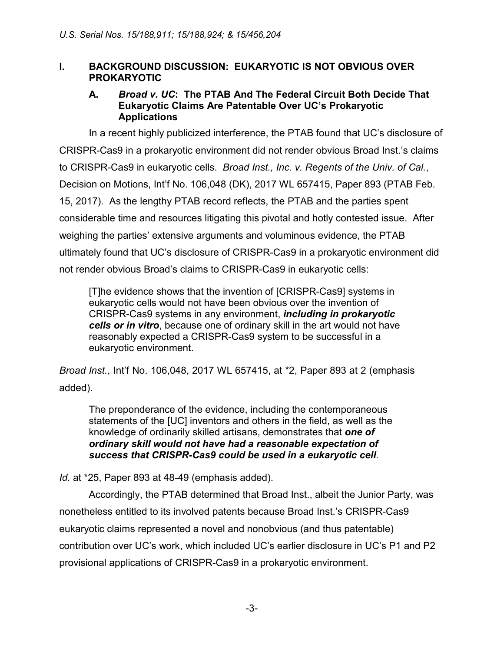## **I. BACKGROUND DISCUSSION: EUKARYOTIC IS NOT OBVIOUS OVER PROKARYOTIC**

### **A.** *Broad v. UC***: The PTAB And The Federal Circuit Both Decide That Eukaryotic Claims Are Patentable Over UC's Prokaryotic Applications**

In a recent highly publicized interference, the PTAB found that UC's disclosure of CRISPR-Cas9 in a prokaryotic environment did not render obvious Broad Inst.'s claims to CRISPR-Cas9 in eukaryotic cells. *Broad Inst., Inc. v. Regents of the Univ. of Cal.*, Decision on Motions, Int'f No. 106,048 (DK), 2017 WL 657415, Paper 893 (PTAB Feb. 15, 2017). As the lengthy PTAB record reflects, the PTAB and the parties spent considerable time and resources litigating this pivotal and hotly contested issue. After weighing the parties' extensive arguments and voluminous evidence, the PTAB ultimately found that UC's disclosure of CRISPR-Cas9 in a prokaryotic environment did not render obvious Broad's claims to CRISPR-Cas9 in eukaryotic cells:

[T]he evidence shows that the invention of [CRISPR-Cas9] systems in eukaryotic cells would not have been obvious over the invention of CRISPR-Cas9 systems in any environment, *including in prokaryotic cells or in vitro*, because one of ordinary skill in the art would not have reasonably expected a CRISPR-Cas9 system to be successful in a eukaryotic environment.

*Broad Inst.*, Int'f No. 106,048, 2017 WL 657415, at \*2, Paper 893 at 2 (emphasis added).

The preponderance of the evidence, including the contemporaneous statements of the [UC] inventors and others in the field, as well as the knowledge of ordinarily skilled artisans, demonstrates that *one of ordinary skill would not have had a reasonable expectation of success that CRISPR-Cas9 could be used in a eukaryotic cell*.

*Id.* at \*25, Paper 893 at 48-49 (emphasis added).

Accordingly, the PTAB determined that Broad Inst., albeit the Junior Party, was nonetheless entitled to its involved patents because Broad Inst.'s CRISPR-Cas9 eukaryotic claims represented a novel and nonobvious (and thus patentable) contribution over UC's work, which included UC's earlier disclosure in UC's P1 and P2 provisional applications of CRISPR-Cas9 in a prokaryotic environment.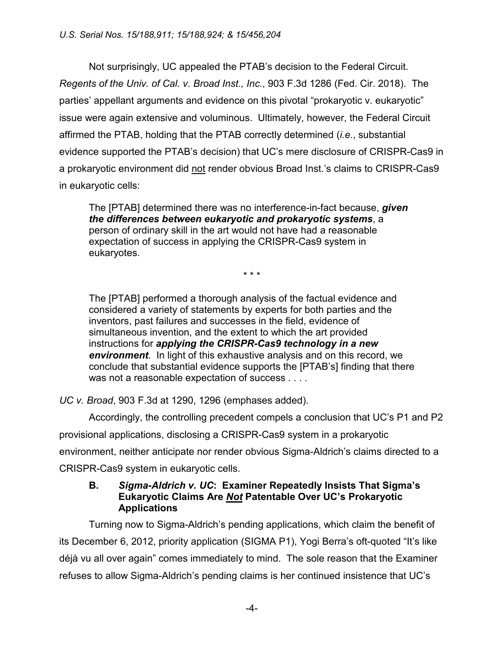Not surprisingly, UC appealed the PTAB's decision to the Federal Circuit. *Regents of the Univ. of Cal. v. Broad Inst., Inc.*, 903 F.3d 1286 (Fed. Cir. 2018). The parties' appellant arguments and evidence on this pivotal "prokaryotic v. eukaryotic" issue were again extensive and voluminous. Ultimately, however, the Federal Circuit affirmed the PTAB, holding that the PTAB correctly determined (*i.e.*, substantial evidence supported the PTAB's decision) that UC's mere disclosure of CRISPR-Cas9 in a prokaryotic environment did not render obvious Broad Inst.'s claims to CRISPR-Cas9 in eukaryotic cells:

The [PTAB] determined there was no interference-in-fact because, *given the differences between eukaryotic and prokaryotic systems*, a person of ordinary skill in the art would not have had a reasonable expectation of success in applying the CRISPR-Cas9 system in eukaryotes.

\* \* \*

The [PTAB] performed a thorough analysis of the factual evidence and considered a variety of statements by experts for both parties and the inventors, past failures and successes in the field, evidence of simultaneous invention, and the extent to which the art provided instructions for *applying the CRISPR-Cas9 technology in a new environment*. In light of this exhaustive analysis and on this record, we conclude that substantial evidence supports the [PTAB's] finding that there was not a reasonable expectation of success . . . .

*UC v. Broad*, 903 F.3d at 1290, 1296 (emphases added).

Accordingly, the controlling precedent compels a conclusion that UC's P1 and P2 provisional applications, disclosing a CRISPR-Cas9 system in a prokaryotic environment, neither anticipate nor render obvious Sigma-Aldrich's claims directed to a CRISPR-Cas9 system in eukaryotic cells.

### **B.** *Sigma-Aldrich v. UC***: Examiner Repeatedly Insists That Sigma's Eukaryotic Claims Are** *Not* **Patentable Over UC's Prokaryotic Applications**

Turning now to Sigma-Aldrich's pending applications, which claim the benefit of its December 6, 2012, priority application (SIGMA P1), Yogi Berra's oft-quoted "It's like déjà vu all over again" comes immediately to mind. The sole reason that the Examiner refuses to allow Sigma-Aldrich's pending claims is her continued insistence that UC's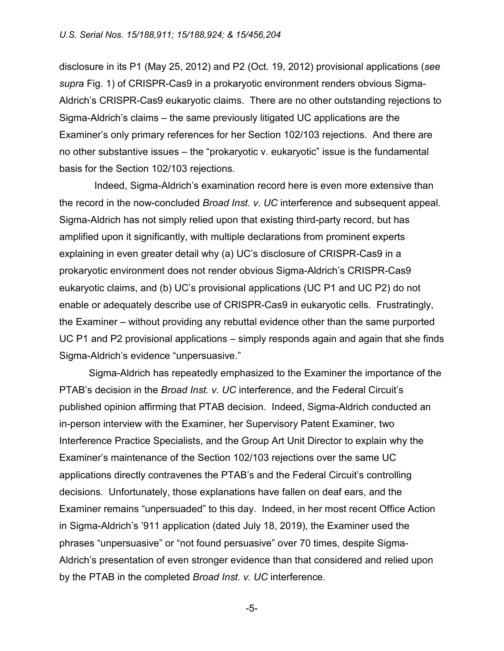disclosure in its P1 (May 25, 2012) and P2 (Oct. 19, 2012) provisional applications (*see supra* Fig. 1) of CRISPR-Cas9 in a prokaryotic environment renders obvious Sigma-Aldrich's CRISPR-Cas9 eukaryotic claims. There are no other outstanding rejections to Sigma-Aldrich's claims – the same previously litigated UC applications are the Examiner's only primary references for her Section 102/103 rejections. And there are no other substantive issues – the "prokaryotic v. eukaryotic" issue is the fundamental basis for the Section 102/103 rejections.

 Indeed, Sigma-Aldrich's examination record here is even more extensive than the record in the now-concluded *Broad Inst. v. UC* interference and subsequent appeal. Sigma-Aldrich has not simply relied upon that existing third-party record, but has amplified upon it significantly, with multiple declarations from prominent experts explaining in even greater detail why (a) UC's disclosure of CRISPR-Cas9 in a prokaryotic environment does not render obvious Sigma-Aldrich's CRISPR-Cas9 eukaryotic claims, and (b) UC's provisional applications (UC P1 and UC P2) do not enable or adequately describe use of CRISPR-Cas9 in eukaryotic cells. Frustratingly, the Examiner – without providing any rebuttal evidence other than the same purported UC P1 and P2 provisional applications – simply responds again and again that she finds Sigma-Aldrich's evidence "unpersuasive."

Sigma-Aldrich has repeatedly emphasized to the Examiner the importance of the PTAB's decision in the *Broad Inst. v. UC* interference, and the Federal Circuit's published opinion affirming that PTAB decision. Indeed, Sigma-Aldrich conducted an in-person interview with the Examiner, her Supervisory Patent Examiner, two Interference Practice Specialists, and the Group Art Unit Director to explain why the Examiner's maintenance of the Section 102/103 rejections over the same UC applications directly contravenes the PTAB's and the Federal Circuit's controlling decisions. Unfortunately, those explanations have fallen on deaf ears, and the Examiner remains "unpersuaded" to this day. Indeed, in her most recent Office Action in Sigma-Aldrich's '911 application (dated July 18, 2019), the Examiner used the phrases "unpersuasive" or "not found persuasive" over 70 times, despite Sigma-Aldrich's presentation of even stronger evidence than that considered and relied upon by the PTAB in the completed *Broad Inst. v. UC* interference.

-5-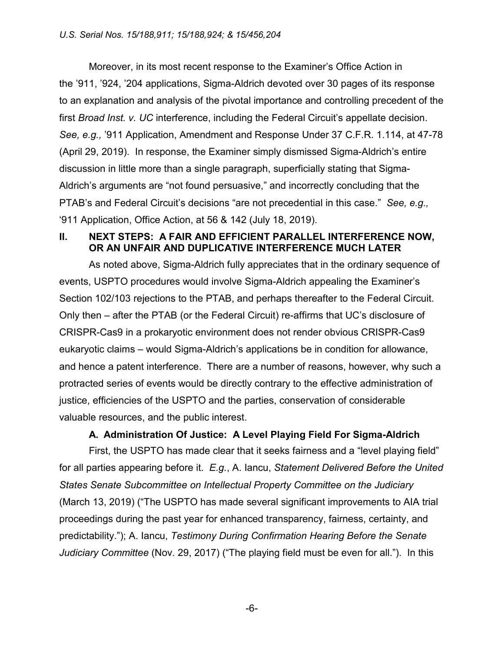Moreover, in its most recent response to the Examiner's Office Action in the '911, '924, '204 applications, Sigma-Aldrich devoted over 30 pages of its response to an explanation and analysis of the pivotal importance and controlling precedent of the first *Broad Inst. v. UC* interference, including the Federal Circuit's appellate decision. *See, e.g.,* '911 Application, Amendment and Response Under 37 C.F.R. 1.114, at 47-78 (April 29, 2019). In response, the Examiner simply dismissed Sigma-Aldrich's entire discussion in little more than a single paragraph, superficially stating that Sigma-Aldrich's arguments are "not found persuasive," and incorrectly concluding that the PTAB's and Federal Circuit's decisions "are not precedential in this case." *See, e.g.,* '911 Application, Office Action, at 56 & 142 (July 18, 2019).

### **II. NEXT STEPS: A FAIR AND EFFICIENT PARALLEL INTERFERENCE NOW, OR AN UNFAIR AND DUPLICATIVE INTERFERENCE MUCH LATER**

As noted above, Sigma-Aldrich fully appreciates that in the ordinary sequence of events, USPTO procedures would involve Sigma-Aldrich appealing the Examiner's Section 102/103 rejections to the PTAB, and perhaps thereafter to the Federal Circuit. Only then – after the PTAB (or the Federal Circuit) re-affirms that UC's disclosure of CRISPR-Cas9 in a prokaryotic environment does not render obvious CRISPR-Cas9 eukaryotic claims – would Sigma-Aldrich's applications be in condition for allowance, and hence a patent interference. There are a number of reasons, however, why such a protracted series of events would be directly contrary to the effective administration of justice, efficiencies of the USPTO and the parties, conservation of considerable valuable resources, and the public interest.

#### **A. Administration Of Justice: A Level Playing Field For Sigma-Aldrich**

First, the USPTO has made clear that it seeks fairness and a "level playing field" for all parties appearing before it. *E.g.*, A. Iancu, *Statement Delivered Before the United States Senate Subcommittee on Intellectual Property Committee on the Judiciary* (March 13, 2019) ("The USPTO has made several significant improvements to AIA trial proceedings during the past year for enhanced transparency, fairness, certainty, and predictability."); A. Iancu, *Testimony During Confirmation Hearing Before the Senate Judiciary Committee* (Nov. 29, 2017) ("The playing field must be even for all."). In this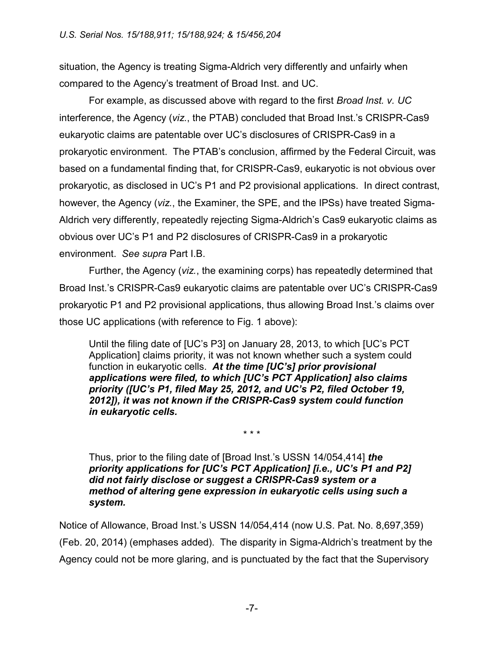situation, the Agency is treating Sigma-Aldrich very differently and unfairly when compared to the Agency's treatment of Broad Inst. and UC.

For example, as discussed above with regard to the first *Broad Inst. v. UC* interference, the Agency (*viz.*, the PTAB) concluded that Broad Inst.'s CRISPR-Cas9 eukaryotic claims are patentable over UC's disclosures of CRISPR-Cas9 in a prokaryotic environment. The PTAB's conclusion, affirmed by the Federal Circuit, was based on a fundamental finding that, for CRISPR-Cas9, eukaryotic is not obvious over prokaryotic, as disclosed in UC's P1 and P2 provisional applications. In direct contrast, however, the Agency (*viz.*, the Examiner, the SPE, and the IPSs) have treated Sigma-Aldrich very differently, repeatedly rejecting Sigma-Aldrich's Cas9 eukaryotic claims as obvious over UC's P1 and P2 disclosures of CRISPR-Cas9 in a prokaryotic environment. *See supra* Part I.B.

Further, the Agency (*viz.*, the examining corps) has repeatedly determined that Broad Inst.'s CRISPR-Cas9 eukaryotic claims are patentable over UC's CRISPR-Cas9 prokaryotic P1 and P2 provisional applications, thus allowing Broad Inst.'s claims over those UC applications (with reference to Fig. 1 above):

Until the filing date of [UC's P3] on January 28, 2013, to which [UC's PCT Application] claims priority, it was not known whether such a system could function in eukaryotic cells. *At the time [UC's] prior provisional applications were filed, to which [UC's PCT Application] also claims priority ([UC's P1, filed May 25, 2012, and UC's P2, filed October 19, 2012]), it was not known if the CRISPR-Cas9 system could function in eukaryotic cells.*

Thus, prior to the filing date of [Broad Inst.'s USSN 14/054,414] *the priority applications for [UC's PCT Application] [i.e., UC's P1 and P2] did not fairly disclose or suggest a CRISPR-Cas9 system or a method of altering gene expression in eukaryotic cells using such a system.*

\* \* \*

Notice of Allowance, Broad Inst.'s USSN 14/054,414 (now U.S. Pat. No. 8,697,359) (Feb. 20, 2014) (emphases added). The disparity in Sigma-Aldrich's treatment by the Agency could not be more glaring, and is punctuated by the fact that the Supervisory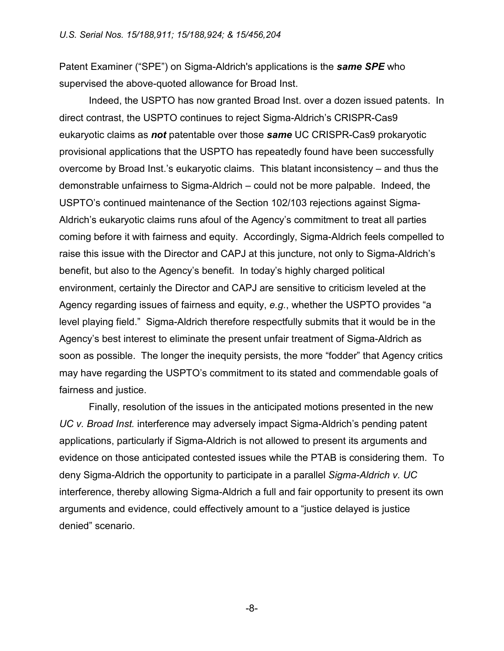Patent Examiner ("SPE") on Sigma-Aldrich's applications is the *same SPE* who supervised the above-quoted allowance for Broad Inst.

Indeed, the USPTO has now granted Broad Inst. over a dozen issued patents. In direct contrast, the USPTO continues to reject Sigma-Aldrich's CRISPR-Cas9 eukaryotic claims as *not* patentable over those *same* UC CRISPR-Cas9 prokaryotic provisional applications that the USPTO has repeatedly found have been successfully overcome by Broad Inst.'s eukaryotic claims. This blatant inconsistency – and thus the demonstrable unfairness to Sigma-Aldrich – could not be more palpable. Indeed, the USPTO's continued maintenance of the Section 102/103 rejections against Sigma-Aldrich's eukaryotic claims runs afoul of the Agency's commitment to treat all parties coming before it with fairness and equity. Accordingly, Sigma-Aldrich feels compelled to raise this issue with the Director and CAPJ at this juncture, not only to Sigma-Aldrich's benefit, but also to the Agency's benefit. In today's highly charged political environment, certainly the Director and CAPJ are sensitive to criticism leveled at the Agency regarding issues of fairness and equity, *e.g.*, whether the USPTO provides "a level playing field." Sigma-Aldrich therefore respectfully submits that it would be in the Agency's best interest to eliminate the present unfair treatment of Sigma-Aldrich as soon as possible. The longer the inequity persists, the more "fodder" that Agency critics may have regarding the USPTO's commitment to its stated and commendable goals of fairness and justice.

Finally, resolution of the issues in the anticipated motions presented in the new *UC v. Broad Inst.* interference may adversely impact Sigma-Aldrich's pending patent applications, particularly if Sigma-Aldrich is not allowed to present its arguments and evidence on those anticipated contested issues while the PTAB is considering them. To deny Sigma-Aldrich the opportunity to participate in a parallel *Sigma-Aldrich v. UC* interference, thereby allowing Sigma-Aldrich a full and fair opportunity to present its own arguments and evidence, could effectively amount to a "justice delayed is justice denied" scenario.

-8-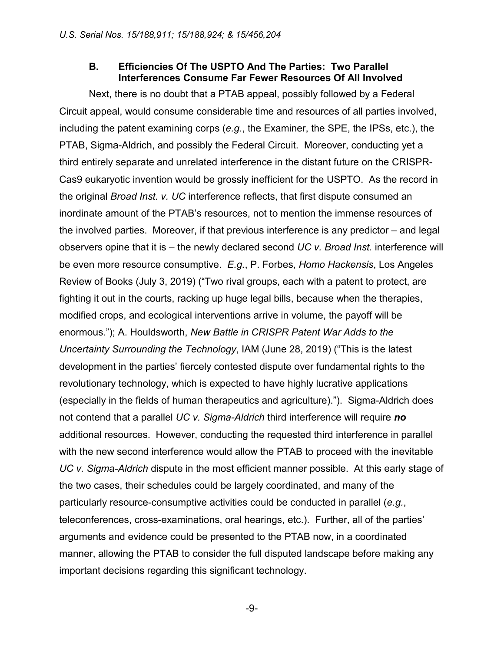#### **B. Efficiencies Of The USPTO And The Parties: Two Parallel Interferences Consume Far Fewer Resources Of All Involved**

Next, there is no doubt that a PTAB appeal, possibly followed by a Federal Circuit appeal, would consume considerable time and resources of all parties involved, including the patent examining corps (*e.g.*, the Examiner, the SPE, the IPSs, etc.), the PTAB, Sigma-Aldrich, and possibly the Federal Circuit. Moreover, conducting yet a third entirely separate and unrelated interference in the distant future on the CRISPR-Cas9 eukaryotic invention would be grossly inefficient for the USPTO. As the record in the original *Broad Inst. v. UC* interference reflects, that first dispute consumed an inordinate amount of the PTAB's resources, not to mention the immense resources of the involved parties. Moreover, if that previous interference is any predictor – and legal observers opine that it is – the newly declared second *UC v. Broad Inst.* interference will be even more resource consumptive. *E.g.*, P. Forbes, *Homo Hackensis*, Los Angeles Review of Books (July 3, 2019) ("Two rival groups, each with a patent to protect, are fighting it out in the courts, racking up huge legal bills, because when the therapies, modified crops, and ecological interventions arrive in volume, the payoff will be enormous."); A. Houldsworth, *New Battle in CRISPR Patent War Adds to the Uncertainty Surrounding the Technology*, IAM (June 28, 2019) ("This is the latest development in the parties' fiercely contested dispute over fundamental rights to the revolutionary technology, which is expected to have highly lucrative applications (especially in the fields of human therapeutics and agriculture)."). Sigma-Aldrich does not contend that a parallel *UC v. Sigma-Aldrich* third interference will require *no* additional resources. However, conducting the requested third interference in parallel with the new second interference would allow the PTAB to proceed with the inevitable *UC v. Sigma-Aldrich* dispute in the most efficient manner possible. At this early stage of the two cases, their schedules could be largely coordinated, and many of the particularly resource-consumptive activities could be conducted in parallel (*e.g.*, teleconferences, cross-examinations, oral hearings, etc.). Further, all of the parties' arguments and evidence could be presented to the PTAB now, in a coordinated manner, allowing the PTAB to consider the full disputed landscape before making any important decisions regarding this significant technology.

-9-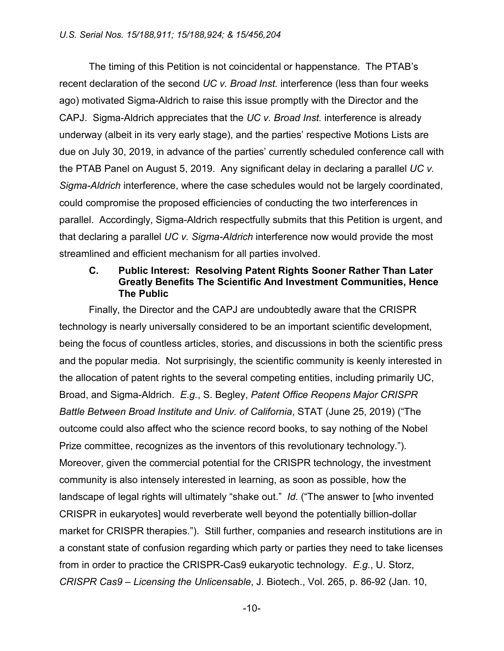The timing of this Petition is not coincidental or happenstance. The PTAB's recent declaration of the second *UC v. Broad Inst.* interference (less than four weeks ago) motivated Sigma-Aldrich to raise this issue promptly with the Director and the CAPJ. Sigma-Aldrich appreciates that the *UC v. Broad Inst.* interference is already underway (albeit in its very early stage), and the parties' respective Motions Lists are due on July 30, 2019, in advance of the parties' currently scheduled conference call with the PTAB Panel on August 5, 2019. Any significant delay in declaring a parallel *UC v. Sigma-Aldrich* interference, where the case schedules would not be largely coordinated, could compromise the proposed efficiencies of conducting the two interferences in parallel. Accordingly, Sigma-Aldrich respectfully submits that this Petition is urgent, and that declaring a parallel *UC v. Sigma-Aldrich* interference now would provide the most streamlined and efficient mechanism for all parties involved.

#### **C. Public Interest: Resolving Patent Rights Sooner Rather Than Later Greatly Benefits The Scientific And Investment Communities, Hence The Public**

Finally, the Director and the CAPJ are undoubtedly aware that the CRISPR technology is nearly universally considered to be an important scientific development, being the focus of countless articles, stories, and discussions in both the scientific press and the popular media. Not surprisingly, the scientific community is keenly interested in the allocation of patent rights to the several competing entities, including primarily UC, Broad, and Sigma-Aldrich. *E.g.*, S. Begley, *Patent Office Reopens Major CRISPR Battle Between Broad Institute and Univ. of California*, STAT (June 25, 2019) ("The outcome could also affect who the science record books, to say nothing of the Nobel Prize committee, recognizes as the inventors of this revolutionary technology."). Moreover, given the commercial potential for the CRISPR technology, the investment community is also intensely interested in learning, as soon as possible, how the landscape of legal rights will ultimately "shake out." *Id.* ("The answer to [who invented CRISPR in eukaryotes] would reverberate well beyond the potentially billion-dollar market for CRISPR therapies."). Still further, companies and research institutions are in a constant state of confusion regarding which party or parties they need to take licenses from in order to practice the CRISPR-Cas9 eukaryotic technology. *E.g.*, U. Storz, *CRISPR Cas9 – Licensing the Unlicensable*, J. Biotech., Vol. 265, p. 86-92 (Jan. 10,

-10-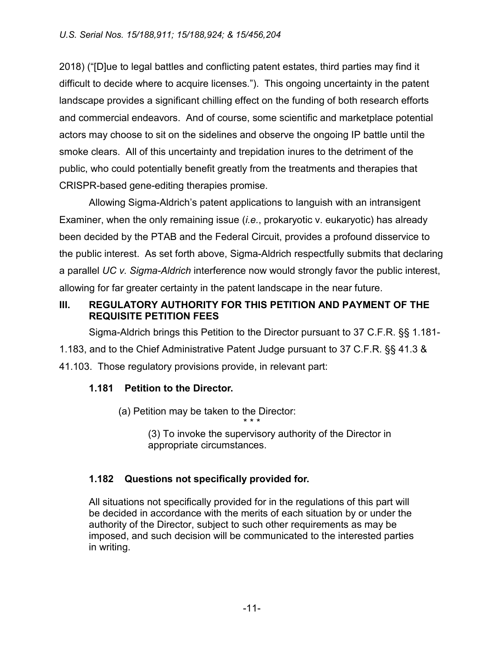2018) ("[D]ue to legal battles and conflicting patent estates, third parties may find it difficult to decide where to acquire licenses."). This ongoing uncertainty in the patent landscape provides a significant chilling effect on the funding of both research efforts and commercial endeavors. And of course, some scientific and marketplace potential actors may choose to sit on the sidelines and observe the ongoing IP battle until the smoke clears. All of this uncertainty and trepidation inures to the detriment of the public, who could potentially benefit greatly from the treatments and therapies that CRISPR-based gene-editing therapies promise.

Allowing Sigma-Aldrich's patent applications to languish with an intransigent Examiner, when the only remaining issue (*i.e.*, prokaryotic v. eukaryotic) has already been decided by the PTAB and the Federal Circuit, provides a profound disservice to the public interest. As set forth above, Sigma-Aldrich respectfully submits that declaring a parallel *UC v. Sigma-Aldrich* interference now would strongly favor the public interest, allowing for far greater certainty in the patent landscape in the near future.

# **III. REGULATORY AUTHORITY FOR THIS PETITION AND PAYMENT OF THE REQUISITE PETITION FEES**

Sigma-Aldrich brings this Petition to the Director pursuant to 37 C.F.R. §§ 1.181- 1.183, and to the Chief Administrative Patent Judge pursuant to 37 C.F.R. §§ 41.3 & 41.103. Those regulatory provisions provide, in relevant part:

# **1.181 Petition to the Director.**

(a) Petition may be taken to the Director: \* \* \*

> (3) To invoke the supervisory authority of the Director in appropriate circumstances.

# **1.182 Questions not specifically provided for.**

All situations not specifically provided for in the regulations of this part will be decided in accordance with the merits of each situation by or under the authority of the Director, subject to such other requirements as may be imposed, and such decision will be communicated to the interested parties in writing.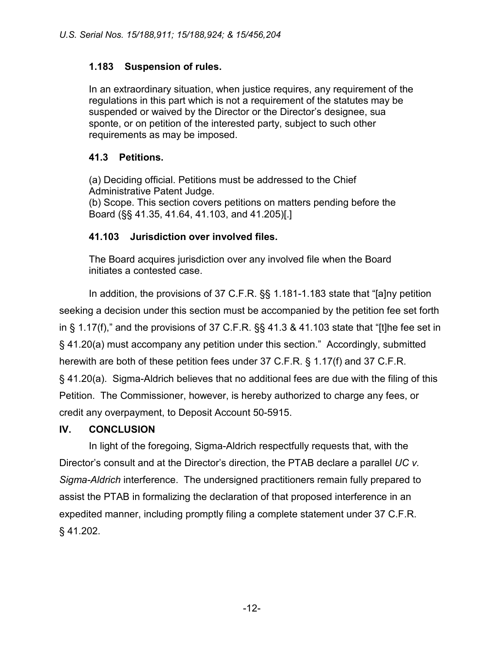# **1.183 Suspension of rules.**

In an extraordinary situation, when justice requires, any requirement of the regulations in this part which is not a requirement of the statutes may be suspended or waived by the Director or the Director's designee, sua sponte, or on petition of the interested party, subject to such other requirements as may be imposed.

## **41.3 Petitions.**

(a) Deciding official. Petitions must be addressed to the Chief Administrative Patent Judge. (b) Scope. This section covers petitions on matters pending before the Board (§§ 41.35, 41.64, 41.103, and 41.205)[.]

## **41.103 Jurisdiction over involved files.**

The Board acquires jurisdiction over any involved file when the Board initiates a contested case.

In addition, the provisions of 37 C.F.R. §§ 1.181-1.183 state that "[a]ny petition seeking a decision under this section must be accompanied by the petition fee set forth in § 1.17(f)," and the provisions of 37 C.F.R. §§ 41.3 & 41.103 state that "[t]he fee set in § 41.20(a) must accompany any petition under this section." Accordingly, submitted herewith are both of these petition fees under 37 C.F.R. § 1.17(f) and 37 C.F.R. § 41.20(a). Sigma-Aldrich believes that no additional fees are due with the filing of this Petition. The Commissioner, however, is hereby authorized to charge any fees, or credit any overpayment, to Deposit Account 50-5915.

# **IV. CONCLUSION**

In light of the foregoing, Sigma-Aldrich respectfully requests that, with the Director's consult and at the Director's direction, the PTAB declare a parallel *UC v. Sigma-Aldrich* interference. The undersigned practitioners remain fully prepared to assist the PTAB in formalizing the declaration of that proposed interference in an expedited manner, including promptly filing a complete statement under 37 C.F.R. § 41.202.